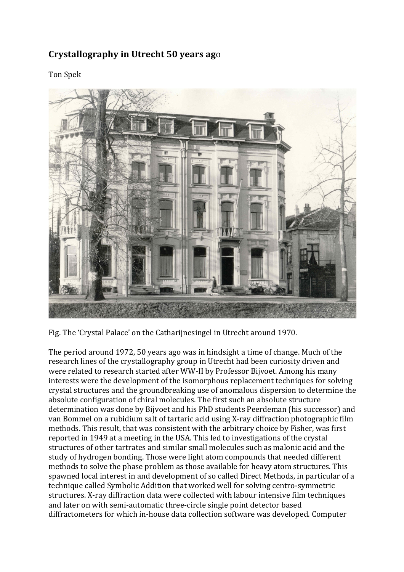## **Crystallography in Utrecht 50 years ago**

Ton Spek



Fig. The 'Crystal Palace' on the Catharijnesingel in Utrecht around 1970.

The period around 1972, 50 years ago was in hindsight a time of change. Much of the research lines of the crystallography group in Utrecht had been curiosity driven and were related to research started after WW-II by Professor Bijvoet. Among his many interests were the development of the isomorphous replacement techniques for solving crystal structures and the groundbreaking use of anomalous dispersion to determine the absolute configuration of chiral molecules. The first such an absolute structure determination was done by Bijvoet and his PhD students Peerdeman (his successor) and van Bommel on a rubidium salt of tartaric acid using X-ray diffraction photographic film methods. This result, that was consistent with the arbitrary choice by Fisher, was first reported in 1949 at a meeting in the USA. This led to investigations of the crystal structures of other tartrates and similar small molecules such as malonic acid and the study of hydrogen bonding. Those were light atom compounds that needed different methods to solve the phase problem as those available for heavy atom structures. This spawned local interest in and development of so called Direct Methods, in particular of a technique called Symbolic Addition that worked well for solving centro-symmetric structures. X-ray diffraction data were collected with labour intensive film techniques and later on with semi-automatic three-circle single point detector based diffractometers for which in-house data collection software was developed. Computer